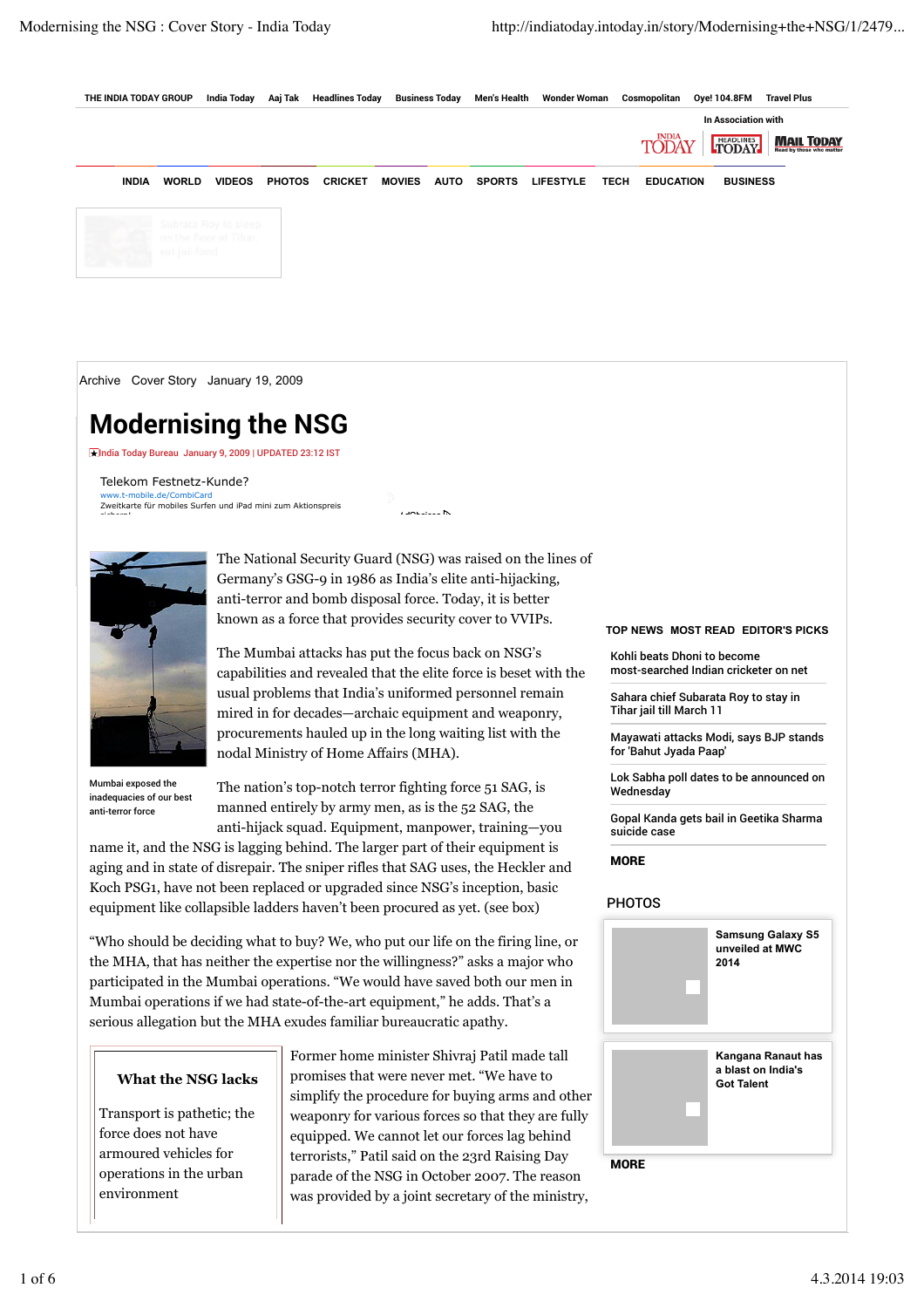

Archive Cover Story January 19, 2009

# **Modernising the NSG**

India Today Bureau January 9, 2009 | UPDATED 23:12 IST

Telekom Festnetz-Kunde? mobile.de/CombiCar Zweitkarte für mobiles Surfen und iPad mini zum Aktionspreis sichern!



Mumbai exposed the inadequacies of our best anti-terror force

The National Security Guard (NSG) was raised on the lines of Germany's GSG-9 in 1986 as India's elite anti-hijacking, anti-terror and bomb disposal force. Today, it is better known as a force that provides security cover to VVIPs.

The Mumbai attacks has put the focus back on NSG's capabilities and revealed that the elite force is beset with the usual problems that India's uniformed personnel remain mired in for decades—archaic equipment and weaponry, procurements hauled up in the long waiting list with the nodal Ministry of Home Affairs (MHA).

The nation's top-notch terror fighting force 51 SAG, is manned entirely by army men, as is the 52 SAG, the anti-hijack squad. Equipment, manpower, training—you

name it, and the NSG is lagging behind. The larger part of their equipment is aging and in state of disrepair. The sniper rifles that SAG uses, the Heckler and Koch PSG1, have not been replaced or upgraded since NSG's inception, basic equipment like collapsible ladders haven't been procured as yet. (see box)

"Who should be deciding what to buy? We, who put our life on the firing line, or the MHA, that has neither the expertise nor the willingness?" asks a major who participated in the Mumbai operations. "We would have saved both our men in Mumbai operations if we had state-of-the-art equipment," he adds. That's a serious allegation but the MHA exudes familiar bureaucratic apathy.

## **What the NSG lacks**

Transport is pathetic; the force does not have armoured vehicles for operations in the urban environment

Former home minister Shivraj Patil made tall promises that were never met. "We have to simplify the procedure for buying arms and other weaponry for various forces so that they are fully equipped. We cannot let our forces lag behind terrorists," Patil said on the 23rd Raising Day parade of the NSG in October 2007. The reason was provided by a joint secretary of the ministry,

#### **TOP NEWS MOST READ EDITOR'S PICKS**

Kohli beats Dhoni to become most-searched Indian cricketer on net

Sahara chief Subarata Roy to stay in Tihar jail till March 11

Mayawati attacks Modi, says BJP stands for 'Bahut Jyada Paap'

Lok Sabha poll dates to be announced on Wednesday

Gopal Kanda gets bail in Geetika Sharma suicide case

**MORE** 

### PHOTOS

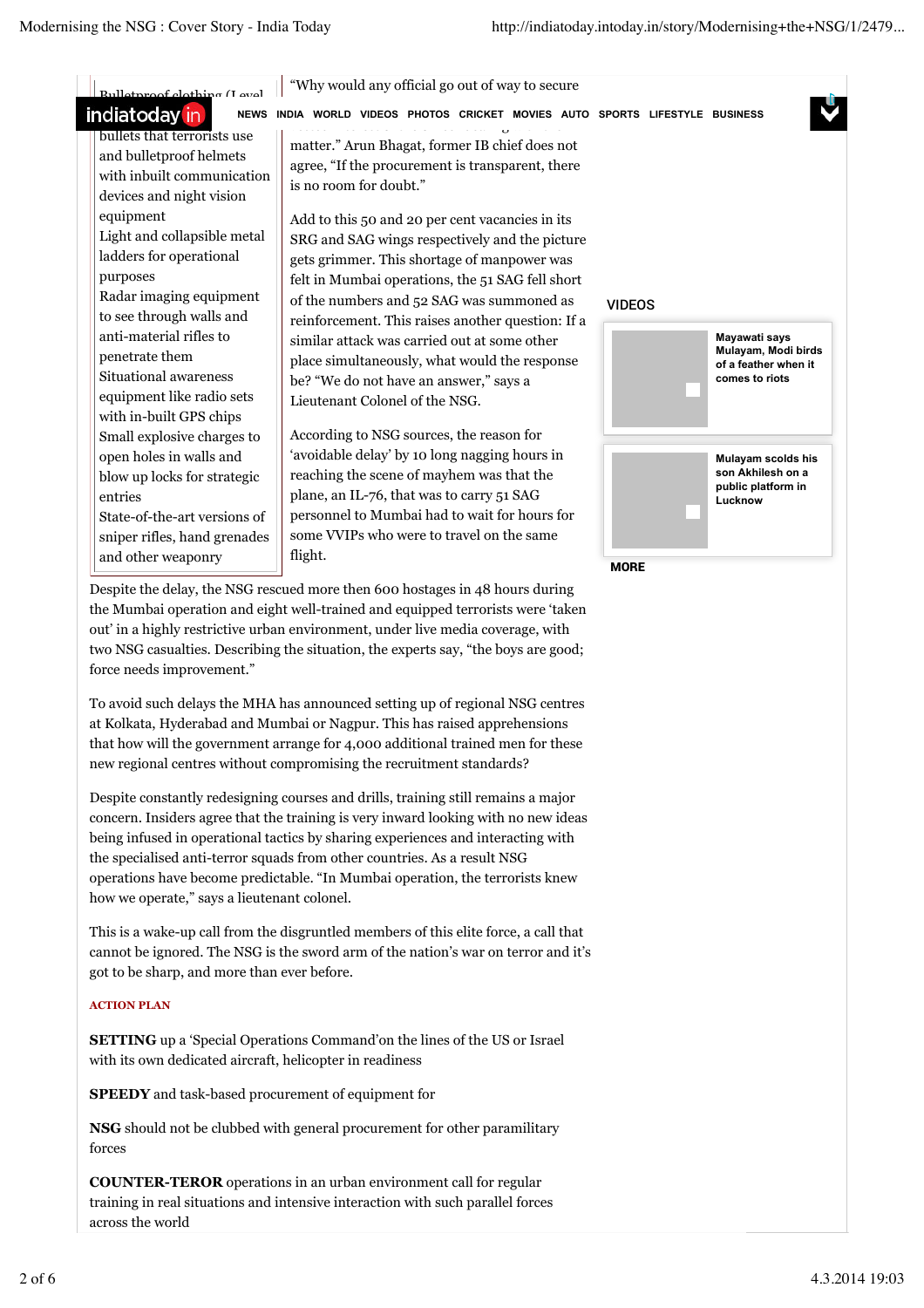| indiatoday in<br><b>NEWS</b>                                                                                                                                                            | INDIA WORLD VIDEOS PHOTOS CRICKET MOVIES AUTO SPORTS LIFESTYLE BUSINESS                                                                                                                                                                                                          |                               |                                             |
|-----------------------------------------------------------------------------------------------------------------------------------------------------------------------------------------|----------------------------------------------------------------------------------------------------------------------------------------------------------------------------------------------------------------------------------------------------------------------------------|-------------------------------|---------------------------------------------|
| bullets that terrorists use<br>and bulletproof helmets<br>with inbuilt communication<br>devices and night vision<br>equipment<br>Light and collapsible metal<br>ladders for operational | matter." Arun Bhagat, former IB chief does not<br>agree, "If the procurement is transparent, there<br>is no room for doubt."<br>Add to this 50 and 20 per cent vacancies in its<br>SRG and SAG wings respectively and the picture<br>gets grimmer. This shortage of manpower was |                               |                                             |
| purposes                                                                                                                                                                                | felt in Mumbai operations, the 51 SAG fell short                                                                                                                                                                                                                                 |                               |                                             |
| Radar imaging equipment                                                                                                                                                                 | of the numbers and $52$ SAG was summoned as                                                                                                                                                                                                                                      | <b>VIDEOS</b>                 |                                             |
| to see through walls and                                                                                                                                                                | reinforcement. This raises another question: If a                                                                                                                                                                                                                                |                               |                                             |
| anti-material rifles to                                                                                                                                                                 | similar attack was carried out at some other                                                                                                                                                                                                                                     |                               | Mayawati says                               |
| penetrate them                                                                                                                                                                          | place simultaneously, what would the response                                                                                                                                                                                                                                    |                               | Mulayam, Modi birds<br>of a feather when it |
| Situational awareness                                                                                                                                                                   | be? "We do not have an answer," says a                                                                                                                                                                                                                                           |                               | comes to riots                              |
| equipment like radio sets                                                                                                                                                               | Lieutenant Colonel of the NSG.                                                                                                                                                                                                                                                   |                               |                                             |
| with in-built GPS chips                                                                                                                                                                 |                                                                                                                                                                                                                                                                                  |                               |                                             |
| Small explosive charges to                                                                                                                                                              | According to NSG sources, the reason for                                                                                                                                                                                                                                         |                               |                                             |
| open holes in walls and                                                                                                                                                                 | 'avoidable delay' by 10 long nagging hours in                                                                                                                                                                                                                                    |                               | Mulayam scolds his                          |
| blow up locks for strategic                                                                                                                                                             | reaching the scene of mayhem was that the                                                                                                                                                                                                                                        |                               | son Akhilesh on a                           |
| entries                                                                                                                                                                                 | plane, an IL-76, that was to carry 51 SAG                                                                                                                                                                                                                                        | public platform in<br>Lucknow |                                             |
| State-of-the-art versions of                                                                                                                                                            | personnel to Mumbai had to wait for hours for                                                                                                                                                                                                                                    |                               |                                             |
| sniper rifles, hand grenades                                                                                                                                                            | some VVIPs who were to travel on the same                                                                                                                                                                                                                                        |                               |                                             |
| and other weaponry                                                                                                                                                                      | flight.                                                                                                                                                                                                                                                                          |                               |                                             |

the Mumbai operation and eight well-trained and equipped terrorists were 'taken out' in a highly restrictive urban environment, under live media coverage, with two NSG casualties. Describing the situation, the experts say, "the boys are good; force needs improvement."

To avoid such delays the MHA has announced setting up of regional NSG centres at Kolkata, Hyderabad and Mumbai or Nagpur. This has raised apprehensions that how will the government arrange for 4,000 additional trained men for these new regional centres without compromising the recruitment standards?

Despite constantly redesigning courses and drills, training still remains a major concern. Insiders agree that the training is very inward looking with no new ideas being infused in operational tactics by sharing experiences and interacting with the specialised anti-terror squads from other countries. As a result NSG operations have become predictable. "In Mumbai operation, the terrorists knew how we operate," says a lieutenant colonel.

This is a wake-up call from the disgruntled members of this elite force, a call that cannot be ignored. The NSG is the sword arm of the nation's war on terror and it's got to be sharp, and more than ever before.

## **ACTION PLAN**

**SETTING** up a 'Special Operations Command'on the lines of the US or Israel with its own dedicated aircraft, helicopter in readiness

**SPEEDY** and task-based procurement of equipment for

**NSG** should not be clubbed with general procurement for other paramilitary forces

**COUNTER-TEROR** operations in an urban environment call for regular training in real situations and intensive interaction with such parallel forces across the world